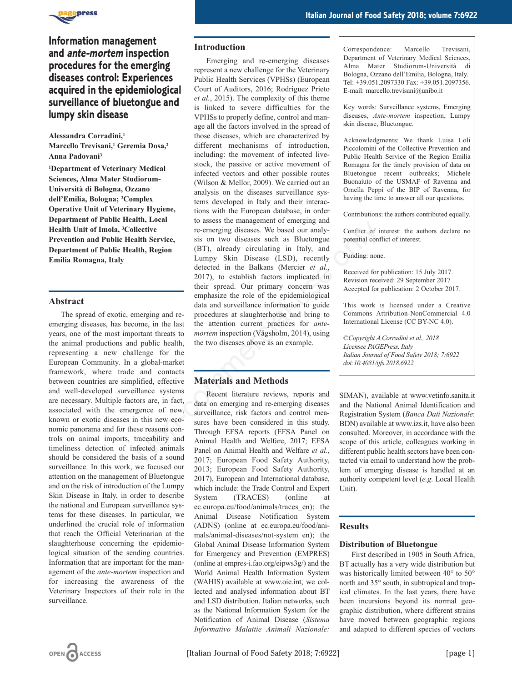

# **Information management and ante-mortem inspection procedures for the emerging diseases control: Experiences acquired in the epidemiological surveillance of bluetongue and lumpy skin disease**

**Alessandra Corradini,1 Marcello Trevisani,1 Geremia Dosa,2 Anna Padovani3**

**1 Department of Veterinary Medical Sciences, Alma Mater Studiorum-Università di Bologna, Ozzano dell'Emilia, Bologna; 2Complex Operative Unit of Veterinary Hygiene, Department of Public Health, Local Health Unit of Imola, 3Collective Prevention and Public Health Service, Department of Public Health, Region Emilia Romagna, Italy** 

# **Abstract**

The spread of exotic, emerging and reemerging diseases, has become, in the last years, one of the most important threats to the animal productions and public health, representing a new challenge for the European Community. In a global-market framework, where trade and contacts between countries are simplified, effective and well-developed surveillance systems are necessary. Multiple factors are, in fact, associated with the emergence of new, known or exotic diseases in this new economic panorama and for these reasons controls on animal imports, traceability and timeliness detection of infected animals should be considered the basis of a sound surveillance. In this work, we focused our attention on the management of Bluetongue and on the risk of introduction of the Lumpy Skin Disease in Italy, in order to describe the national and European surveillance systems for these diseases. In particular, we underlined the crucial role of information that reach the Official Veterinarian at the slaughterhouse concerning the epidemiological situation of the sending countries. Information that are important for the management of the *ante-mortem* inspection and for increasing the awareness of the Veterinary Inspectors of their role in the surveillance.

# **Introduction**

Emerging and re-emerging diseases represent a new challenge for the Veterinary Public Health Services (VPHSs) (European Court of Auditors, 2016; Rodrìguez Prieto *et al.*, 2015). The complexity of this theme is linked to severe difficulties for the VPHSs to properly define, control and manage all the factors involved in the spread of those diseases, which are characterized by different mechanisms of introduction, including: the movement of infected livestock, the passive or active movement of infected vectors and other possible routes (Wilson & Mellor, 2009). We carried out an analysis on the diseases surveillance systems developed in Italy and their interactions with the European database, in order to assess the management of emerging and re-emerging diseases. We based our analysis on two diseases such as Bluetongue (BT), already circulating in Italy, and Lumpy Skin Disease (LSD), recently detected in the Balkans (Mercier *et al.*, 2017), to establish factors implicated in their spread. Our primary concern was emphasize the role of the epidemiological data and surveillance information to guide procedures at slaughterhouse and bring to the attention current practices for *antemortem* inspection (Vågsholm, 2014), using the two diseases above as an example. Solution to the same signation of the same of the same in this particular the same of the same in this particle of re-emerging diseases such as Bluetongue potential conflict of its and the Coll 7. In chead current is cont

# **Materials and Methods**

Recent literature reviews, reports and data on emerging and re-emerging diseases surveillance, risk factors and control measures have been considered in this study. Through EFSA reports (EFSA Panel on Animal Health and Welfare, 2017; EFSA Panel on Animal Health and Welfare *et al.*, 2017; European Food Safety Authority, 2013; European Food Safety Authority, 2017), European and International database, which include: the Trade Control and Expert System (TRACES) (online at ec.europa.eu/food/animals/traces\_en); the Animal Disease Notification System (ADNS) (online at ec.europa.eu/food/animals/animal-diseases/not-system\_en); the Global Animal Disease Information System for Emergency and Prevention (EMPRES) (online at empres-i.fao.org/eipws3g/) and the World Animal Health Information System (WAHIS) available at www.oie.int, we collected and analysed information about BT and LSD distribution. Italian networks, such as the National Information System for the Notification of Animal Disease (*Sistema Informativo Malattie Animali Nazionale:*

Correspondence: Marcello Trevisani, Department of Veterinary Medical Sciences, Alma Mater Studiorum-Università di Bologna, Ozzano dell'Emilia, Bologna, Italy. Tel: +39.051.2097330 Fax: +39.051.2097356. E-mail: marcello.trevisani@unibo.it

Key words: Surveillance systems, Emerging diseases, *Ante-mortem* inspection, Lumpy skin disease, Bluetongue.

Acknowledgments: We thank Luisa Loli Piccolomini of the Collective Prevention and Public Health Service of the Region Emilia Romagna for the timely provision of data on Bluetongue recent outbreaks; Michele Buonaiuto of the USMAF of Ravenna and Ornella Peppi of the BIP of Ravenna, for having the time to answer all our questions.

Contributions: the authors contributed equally.

Conflict of interest: the authors declare no potential conflict of interest.

Funding: none.

Received for publication: 15 July 2017. Revision received: 29 September 2017 Accepted for publication: 2 October 2017.

This work is licensed under a Creative Commons Attribution-NonCommercial 4.0 International License (CC BY-NC 4.0).

*©Copyright A.Corradini et al., 2018 Licensee PAGEPress, Italy Italian Journal of Food Safety 2018; 7:6922 doi:10.4081/ijfs.2018.6922*

SIMAN), available at www.vetinfo.sanita.it and the National Animal Identification and Registration System (*Banca Dati Nazionale*: BDN) available at www.izs.it, have also been consulted. Moreover, in accordance with the scope of this article, colleagues working in different public health sectors have been contacted via email to understand how the problem of emerging disease is handled at an authority competent level (*e.g*. Local Health Unit).

# **Results**

# **Distribution of Bluetongue**

First described in 1905 in South Africa, BT actually has a very wide distribution but was historically limited between 40° to 50° north and 35° south, in subtropical and tropical climates. In the last years, there have been incursions beyond its normal geographic distribution, where different strains have moved between geographic regions and adapted to different species of vectors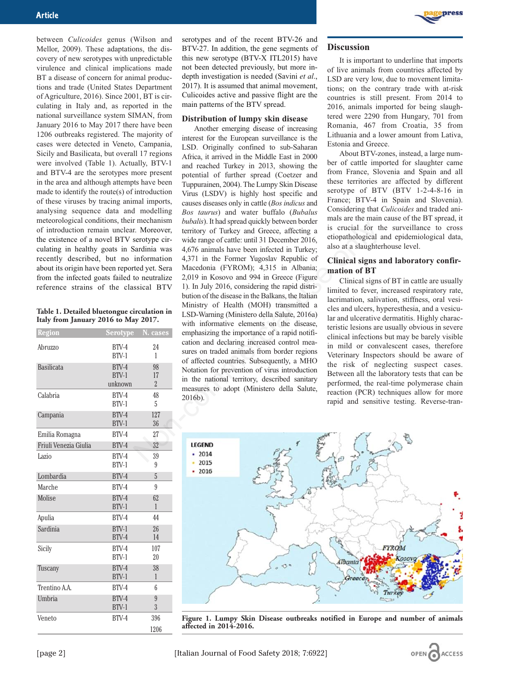between *Culicoides* genus (Wilson and Mellor, 2009). These adaptations, the discovery of new serotypes with unpredictable virulence and clinical implications made BT a disease of concern for animal productions and trade (United States Department of Agriculture, 2016). Since 2001, BT is circulating in Italy and, as reported in the national surveillance system SIMAN, from January 2016 to May 2017 there have been 1206 outbreaks registered. The majority of cases were detected in Veneto, Campania, Sicily and Basilicata, but overall 17 regions were involved (Table 1). Actually, BTV-1 and BTV-4 are the serotypes more present in the area and although attempts have been made to identify the route(s) of introduction of these viruses by tracing animal imports, analysing sequence data and modelling meteorological conditions, their mechanism of introduction remain unclear. Moreover, the existence of a novel BTV serotype circulating in healthy goats in Sardinia was recently described, but no information about its origin have been reported yet. Sera from the infected goats failed to neutralize reference strains of the classical BTV

#### **Table 1. Detailed bluetongue circulation in Italy from January 2016 to May 2017.**

| Region                | <b>Serotype</b>               | N. cases                   |
|-----------------------|-------------------------------|----------------------------|
| Abruzzo               | $BTV-4$<br>$BTV-1$            | 24<br>1                    |
| <b>Basilicata</b>     | $BTV-4$<br>$BTV-1$<br>unknown | 98<br>17<br>$\overline{2}$ |
| Calabria              | BTV-4<br>$BYV-1$              | 48<br>5                    |
| Campania              | $BTV-4$<br>$BTV-1$            | 127<br>36                  |
| Emilia Romagna        | $BYV-4$                       | 27                         |
| Friuli Venezia Giulia | $BYV-4$                       | 32                         |
| Lazio                 | $BTV-4$<br>$BYV-1$            | 39<br>9                    |
| Lombardia             | $BYV-4$                       | 5                          |
| Marche                | $BYV-4$                       | 9                          |
| Molise                | $BTV-4$<br>$BTV-1$            | 62<br>$\mathbf{1}$         |
| Apulia                | $BYV-4$                       | 44                         |
| Sardinia              | $BTV-1$<br>$BYV-4$            | 26<br>14                   |
| Sicily                | $BYV-4$<br>$BYV-1$            | 107<br>20                  |
| Tuscany               | $BTV-4$<br>$BYV-1$            | 38<br>$\mathbf{1}$         |
| Trentino A.A.         | $BYV-4$                       | 6                          |
| Umbria                | $BTV-4$<br>BTV-1              | 9<br>$\overline{3}$        |
| Veneto                | $BYV-4$                       | 396<br>1206                |

serotypes and of the recent BTV-26 and BTV-27. In addition, the gene segments of this new serotype (BTV-X ITL2015) have not been detected previously, but more indepth investigation is needed (Savini *et al*., 2017). It is assumed that animal movement, Culicoides active and passive flight are the main patterns of the BTV spread.

#### **Distribution of lumpy skin disease**

Another emerging disease of increasing interest for the European surveillance is the LSD. Originally confined to sub-Saharan Africa, it arrived in the Middle East in 2000 and reached Turkey in 2013, showing the potential of further spread (Coetzer and Tuppurainen, 2004). The Lumpy Skin Disease Virus (LSDV) is highly host specific and causes diseases only in cattle (*Bos indicus* and *Bos taurus*) and water buffalo (*Bubalus bubalis*). It had spread quickly between border territory of Turkey and Greece, affecting a wide range of cattle: until 31 December 2016, 4,676 animals have been infected in Turkey; 4,371 in the Former Yugoslav Republic of Macedonia (FYROM); 4,315 in Albania; 2,019 in Kosovo and 994 in Greece (Figure 1). In July 2016, considering the rapid distribution of the disease in the Balkans, the Italian Ministry of Health (MOH) transmitted a LSD-Warning (Ministero della Salute, 2016a) with informative elements on the disease, emphasizing the importance of a rapid notification and declaring increased control measures on traded animals from border regions of affected countries. Subsequently, a MHO Notation for prevention of virus introduction in the national territory, described sanitary measures to adopt (Ministero della Salute, 2016b). Incurial motion in alto<br>
increase the comment of Turkey and Greece, affecting a is crucial for the<br>
strotuy ef Turkey and Greece, affecting a is crucial for the<br>
strotuy eiting a strong the commeted in Turkey; also at a s



#### **Discussion**

It is important to underline that imports of live animals from countries affected by LSD are very low, due to movement limitations; on the contrary trade with at-risk countries is still present. From 2014 to 2016, animals imported for being slaughtered were 2290 from Hungary, 701 from Romania, 467 from Croatia, 35 from Lithuania and a lower amount from Lativa, Estonia and Greece.

About BTV-zones, instead, a large number of cattle imported for slaughter came from France, Slovenia and Spain and all these territories are affected by different serotype of BTV (BTV 1-2-4-8-16 in France; BTV-4 in Spain and Slovenia). Considering that *Culicoides* and traded animals are the main cause of the BT spread, it is crucial for the surveillance to cross etiopathological and epidemiological data, also at a slaughterhouse level.

# **Clinical signs and laboratory confirmation of BT**

Clinical signs of BT in cattle are usually limited to fever, increased respiratory rate, lacrimation, salivation, stiffness, oral vesicles and ulcers, hyperesthesia, and a vesicular and ulcerative dermatitis. Highly characteristic lesions are usually obvious in severe clinical infections but may be barely visible in mild or convalescent cases, therefore Veterinary Inspectors should be aware of the risk of neglecting suspect cases. Between all the laboratory tests that can be performed, the real-time polymerase chain reaction (PCR) techniques allow for more rapid and sensitive testing. Reverse-tran-



**Figure 1. Lumpy Skin Disease outbreaks notified in Europe and number of animals affected in 2014-2016.**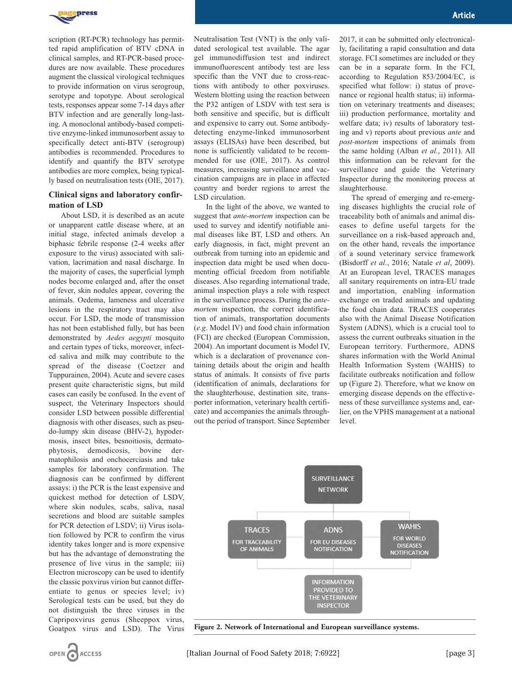

scription (RT-PCR) technology has permitted rapid amplification of BTV cDNA in clinical samples, and RT-PCR-based procedures are now available. These procedures augment the classical virological techniques to provide information on virus serogroup, serotype and topotype. About serological tests, responses appear some 7-14 days after BTV infection and are generally long-lasting. A monoclonal antibody-based competitive enzyme-linked immunosorbent assay to specifically detect anti-BTV (serogroup) antibodies is recommended. Procedures to identify and quantify the BTV serotype antibodies are more complex, being typically based on neutralisation tests (OIE, 2017).

#### **Clinical signs and laboratory confirmation of LSD**

About LSD, it is described as an acute or unapparent cattle disease where, at an initial stage, infected animals develop a biphasic febrile response (2-4 weeks after exposure to the virus) associated with salivation, lacrimation and nasal discharge. In the majority of cases, the superficial lymph nodes become enlarged and, after the onset of fever, skin nodules appear, covering the animals. Oedema, lameness and ulcerative lesions in the respiratory tract may also occur. For LSD, the mode of transmission has not been established fully, but has been demonstrated by *Aedes aegypti* mosquito and certain types of ticks, moreover, infected saliva and milk may contribute to the spread of the disease (Coetzer and Tuppurainen, 2004). Acute and severe cases present quite characteristic signs, but mild cases can easily be confused. In the event of suspect, the Veterinary Inspectors should consider LSD between possible differential diagnosis with other diseases, such as pseudo-lumpy skin disease (BHV-2), hypodermosis, insect bites, besnoitiosis, dermatophytosis, demodicosis, bovine dermatophilosis and onchocerciasis and take samples for laboratory confirmation. The diagnosis can be confirmed by different assays: i) the PCR is the least expensive and quickest method for detection of LSDV, where skin nodules, scabs, saliva, nasal secretions and blood are suitable samples for PCR detection of LSDV; ii) Virus isolation followed by PCR to confirm the virus identity takes longer and is more expensive but has the advantage of demonstrating the presence of live virus in the sample; iii) Electron microscopy can be used to identify the classic poxvirus virion but cannot differentiate to genus or species level; iv) Serological tests can be used, but they do not distinguish the three viruses in the Capripoxvirus genus (Sheeppox virus, Goatpox virus and LSD). The Virus

OPEN CACCESS

Neutralisation Test (VNT) is the only validated serological test available. The agar gel immunodiffusion test and indirect immunofluorescent antibody test are less specific than the VNT due to cross-reactions with antibody to other poxviruses. Western blotting using the reaction between the P32 antigen of LSDV with test sera is both sensitive and specific, but is difficult and expensive to carry out. Some antibodydetecting enzyme-linked immunosorbent assays (ELISAs) have been described, but none is sufficiently validated to be recommended for use (OIE, 2017). As control measures, increasing surveillance and vaccination campaigns are in place in affected country and border regions to arrest the LSD circulation.

In the light of the above, we wanted to suggest that *ante-mortem* inspection can be used to survey and identify notifiable animal diseases like BT, LSD and others. An early diagnosis, in fact, might prevent an outbreak from turning into an epidemic and inspection data might be used when documenting official freedom from notifiable diseases. Also regarding international trade, animal inspection plays a role with respect in the surveillance process. During the *antemortem* inspection, the correct identification of animals, transportation documents (*e.g*. Model IV) and food chain information (FCI) are checked (European Commission, 2004). An important document is Model IV, which is a declaration of provenance containing details about the origin and health status of animals. It consists of five parts (identification of animals, declarations for the slaughterhouse, destination site, transporter information, veterinary health certificate) and accompanies the animals throughout the period of transport. Since September se where, at an used to survey and identify notifiable ani-<br>eases to def<br>mals develop a mal diseases like BT, LSD and others. An surveillance<br>condicated with sali-<br>contraded with sali-<br>contraded with sali-<br>contraded with s

2017, it can be submitted only electronically, facilitating a rapid consultation and data storage. FCI sometimes are included or they can be in a separate form. In the FCI, according to Regulation 853/2004/EC, is specified what follow: i) status of provenance or regional health status; ii) information on veterinary treatments and diseases; iii) production performance, mortality and welfare data; iv) results of laboratory testing and v) reports about previous *ante* and *post-mortem* inspections of animals from the same holding (Alban *et al.*, 2011). All this information can be relevant for the surveillance and guide the Veterinary Inspector during the monitoring process at slaughterhouse.

The spread of emerging and re-emerging diseases highlights the crucial role of traceability both of animals and animal diseases to define useful targets for the surveillance on a risk-based approach and, on the other hand, reveals the importance of a sound veterinary service framework (Bisdorff *et al.*, 2016; Natale *et al*, 2009). At an European level, TRACES manages all sanitary requirements on intra-EU trade and importation, enabling information exchange on traded animals and updating the food chain data. TRACES cooperates also with the Animal Disease Notification System (ADNS), which is a crucial tool to assess the current outbreaks situation in the European territory. Furthermore, ADNS shares information with the World Animal Health Information System (WAHIS) to facilitate outbreaks notification and follow up (Figure 2). Therefore, what we know on emerging disease depends on the effectiveness of these surveillance systems and, earlier, on the VPHS management at a national level.



**Figure 2. Network of International and European surveillance systems.**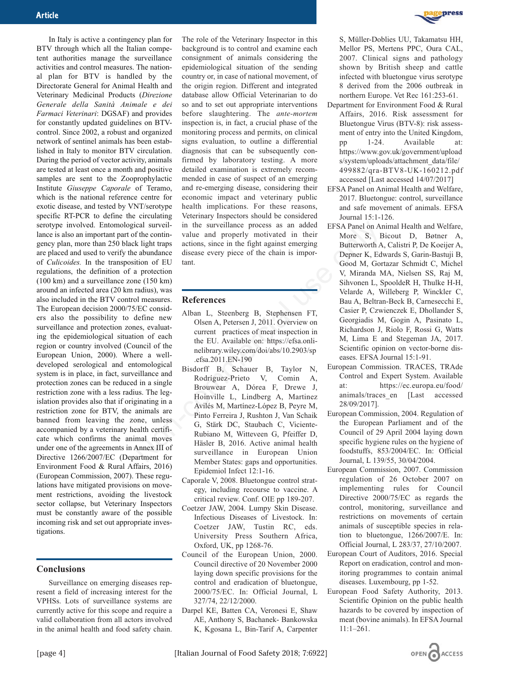In Italy is active a contingency plan for BTV through which all the Italian competent authorities manage the surveillance activities and control measures. The national plan for BTV is handled by the Directorate General for Animal Health and Veterinary Medicinal Products (*Direzione Generale della Sanità Animale e dei Farmaci Veterinari*: DGSAF) and provides for constantly updated guidelines on BTVcontrol. Since 2002, a robust and organized network of sentinel animals has been established in Italy to monitor BTV circulation. During the period of vector activity, animals are tested at least once a month and positive samples are sent to the Zooprophylactic Institute *Giuseppe Caporale* of Teramo, which is the national reference centre for exotic disease, and tested by VNT/serotype specific RT-PCR to define the circulating serotype involved. Entomological surveillance is also an important part of the contingency plan, more than 250 black light traps are placed and used to verify the abundance of *Culicoides.* In the transposition of EU regulations, the definition of a protection (100 km) and a surveillance zone (150 km) around an infected area (20 km radius), was also included in the BTV control measures. The European decision 2000/75/EC considers also the possibility to define new surveillance and protection zones, evaluating the epidemiological situation of each region or country involved (Council of the European Union, 2000). Where a welldeveloped serological and entomological system is in place, in fact, surveillance and protection zones can be reduced in a single restriction zone with a less radius. The legislation provides also that if originating in a restriction zone for BTV, the animals are banned from leaving the zone, unless accompanied by a veterinary health certificate which confirms the animal moves under one of the agreements in Annex III of Directive 1266/2007/EC (Department for Environment Food & Rural Affairs, 2016) (European Commission, 2007). These regulations have mitigated provisions on movement restrictions, avoiding the livestock sector collapse, but Veterinary Inspectors must be constantly aware of the possible incoming risk and set out appropriate investigations.

# **Conclusions**

Surveillance on emerging diseases represent a field of increasing interest for the VPHSs. Lots of surveillance systems are currently active for this scope and require a valid collaboration from all actors involved in the animal health and food safety chain.

The role of the Veterinary Inspector in this background is to control and examine each consignment of animals considering the epidemiological situation of the sending country or, in case of national movement, of the origin region. Different and integrated database allow Official Veterinarian to do so and to set out appropriate interventions before slaughtering. The *ante-mortem* inspection is, in fact, a crucial phase of the monitoring process and permits, on clinical signs evaluation, to outline a differential diagnosis that can be subsequently confirmed by laboratory testing. A more detailed examination is extremely recommended in case of suspect of an emerging and re-emerging disease, considering their economic impact and veterinary public health implications. For these reasons, Veterinary Inspectors should be considered in the surveillance process as an added value and properly motivated in their actions, since in the fight against emerging disease every piece of the chain is important.

### **References**

- Alban L, Steenberg B, Stephensen FT, Olsen A, Petersen J, 2011. Overview on current practices of meat inspection in the EU. Available on: https://efsa.onlinelibrary.wiley.com/doi/abs/10.2903/sp .efsa.2011.EN-190
- Bisdorff B, Schauer B, Taylor N, Rodríguez-Prieto V, Comin A, Brouwear A, Dórea F, Drewe J, Hoinville L, Lindberg A, Martinez Avilés M, Martínez-López B, Peyre M, Pinto Ferreira J, Rushton J, Van Schaik G, Stärk DC, Staubach C, Viciente-Rubiano M, Witteveen G, Pfeiffer D, Häsler B, 2016. Active animal health surveillance in European Union Member States: gaps and opportunities. Epidemiol Infect 12:1-16. ical surveil-<br>
in the surveillance process as an added EFSA Panel on An<br>
in the surveillance process as an added EFSA Panel on An<br>
in the Kight traps acions, since in the fight against emerging<br>
Butterworth A commercial us
	- Caporale V, 2008. Bluetongue control strategy, including recourse to vaccine. A critical review. Conf. OIE pp 189-207.
	- Coetzer JAW, 2004. Lumpy Skin Disease. Infectious Diseases of Livestock. In: Coetzer JAW, Tustin RC, eds. University Press Southern Africa, Oxford, UK, pp 1268-76.
	- Council of the European Union, 2000. Council directive of 20 November 2000 laying down specific provisions for the control and eradication of bluetongue, 2000/75/EC. In: Official Journal, L 327/74, 22/12/2000.
	- Darpel KE, Batten CA, Veronesi E, Shaw AE, Anthony S, Bachanek- Bankowska K, Kgosana L, Bin-Tarif A, Carpenter



S, Müller-Doblies UU, Takamatsu HH, Mellor PS, Mertens PPC, Oura CAL, 2007. Clinical signs and pathology shown by British sheep and cattle infected with bluetongue virus serotype 8 derived from the 2006 outbreak in northern Europe. Vet Rec 161:253-61.

- Department for Environment Food & Rural Affairs, 2016. Risk assessment for Bluetongue Virus (BTV-8): risk assessment of entry into the United Kingdom, pp 1-24. Available at: https://www.gov.uk/government/upload s/system/uploads/attachment\_data/file/ 499882/qra-BTV8-UK-160212.pdf accessed [Last accessed 14/07/2017]
- EFSA Panel on Animal Health and Welfare, 2017. Bluetongue: control, surveillance and safe movement of animals. EFSA Journal 15:1-126.
- EFSA Panel on Animal Health and Welfare, More S, Bicout D, Bøtner A, Butterworth A, Calistri P, De Koeijer A, Depner K, Edwards S, Garin-Bastuji B, Good M, Gortazar Schmidt C, Michel V, Miranda MA, Nielsen SS, Raj M, Sihvonen L, SpooldeR H, Thulke H-H, Velarde A, Willeberg P, Winckler C, Bau A, Beltran-Beck B, Carnesecchi E, Casier P, Czwienczek E, Dhollander S, Georgiadis M, Gogin A, Pasinato L, Richardson J, Riolo F, Rossi G, Watts M, Lima E and Stegeman JA, 2017. Scientific opinion on vector-borne diseases. EFSA Journal 15:1-91.
- European Commission. TRACES, TRAde Control and Expert System. Available at: https://ec.europa.eu/food/ animals/traces\_en [Last accessed 28/09/2017].
- European Commission, 2004. Regulation of the European Parliament and of the Council of 29 April 2004 laying down specific hygiene rules on the hygiene of foodstuffs, 853/2004/EC. In: Official Journal, L 139/55, 30/04/2004.
- European Commission, 2007. Commission regulation of 26 October 2007 on implementing rules for Council Directive 2000/75/EC as regards the control, monitoring, surveillance and restrictions on movements of certain animals of susceptible species in relation to bluetongue, 1266/2007/E. In: Official Journal, L 283/37, 27/10/2007.
- European Court of Auditors, 2016. Special Report on eradication, control and monitoring programmes to contain animal diseases. Luxembourg, pp 1-52.
- European Food Safety Authority, 2013. Scientific Opinion on the public health hazards to be covered by inspection of meat (bovine animals). In EFSA Journal 11:1–261.